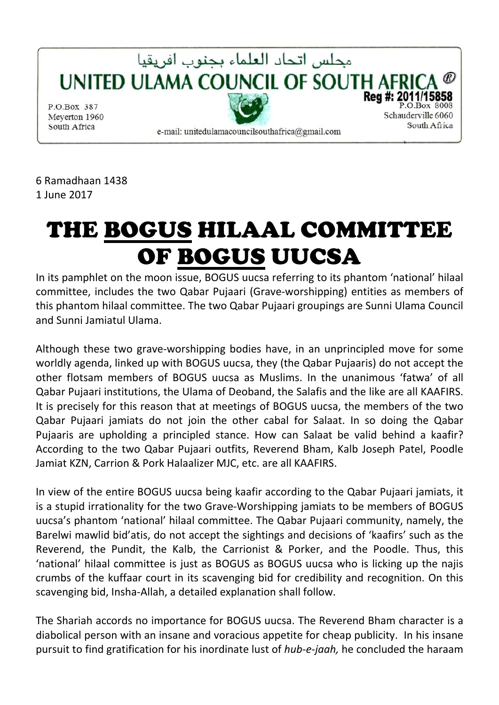

6 Ramadhaan 1438 1 June 2017

## THE BOGUS HILAAL COMMITTEE OF BOGUS UUCSA

In its pamphlet on the moon issue, BOGUS uucsa referring to its phantom 'national' hilaal committee, includes the two Qabar Pujaari (Grave-worshipping) entities as members of this phantom hilaal committee. The two Qabar Pujaari groupings are Sunni Ulama Council and Sunni Jamiatul Ulama.

Although these two grave-worshipping bodies have, in an unprincipled move for some worldly agenda, linked up with BOGUS uucsa, they (the Qabar Pujaaris) do not accept the other flotsam members of BOGUS uucsa as Muslims. In the unanimous 'fatwa' of all Qabar Pujaari institutions, the Ulama of Deoband, the Salafis and the like are all KAAFIRS. It is precisely for this reason that at meetings of BOGUS uucsa, the members of the two Qabar Pujaari jamiats do not join the other cabal for Salaat. In so doing the Qabar Pujaaris are upholding a principled stance. How can Salaat be valid behind a kaafir? According to the two Qabar Pujaari outfits, Reverend Bham, Kalb Joseph Patel, Poodle Jamiat KZN, Carrion & Pork Halaalizer MJC, etc. are all KAAFIRS.

In view of the entire BOGUS uucsa being kaafir according to the Qabar Pujaari jamiats, it is a stupid irrationality for the two Grave-Worshipping jamiats to be members of BOGUS uucsa's phantom 'national' hilaal committee. The Qabar Pujaari community, namely, the Barelwi mawlid bid'atis, do not accept the sightings and decisions of 'kaafirs' such as the Reverend, the Pundit, the Kalb, the Carrionist & Porker, and the Poodle. Thus, this 'national' hilaal committee is just as BOGUS as BOGUS uucsa who is licking up the najis crumbs of the kuffaar court in its scavenging bid for credibility and recognition. On this scavenging bid, Insha-Allah, a detailed explanation shall follow.

The Shariah accords no importance for BOGUS uucsa. The Reverend Bham character is a diabolical person with an insane and voracious appetite for cheap publicity. In his insane pursuit to find gratification for his inordinate lust of *hub-e-jaah,* he concluded the haraam